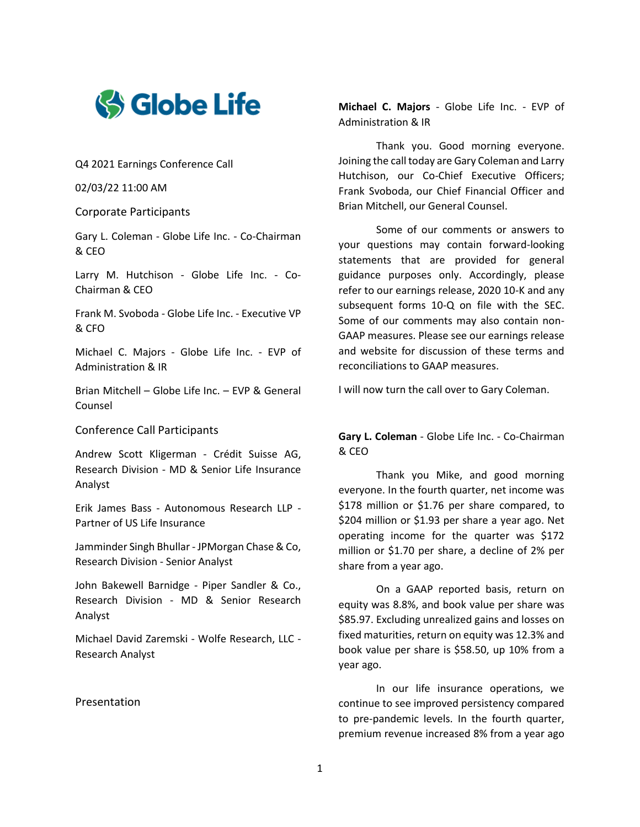

Q4 2021 Earnings Conference Call

02/03/22 11:00 AM

Corporate Participants

Gary L. Coleman - Globe Life Inc. - Co-Chairman & CEO

Larry M. Hutchison - Globe Life Inc. - Co-Chairman & CEO

Frank M. Svoboda - Globe Life Inc. - Executive VP & CFO

Michael C. Majors - Globe Life Inc. - EVP of Administration & IR

Brian Mitchell – Globe Life Inc. – EVP & General Counsel

Conference Call Participants

Andrew Scott Kligerman - Crédit Suisse AG, Research Division - MD & Senior Life Insurance Analyst

Erik James Bass - Autonomous Research LLP - Partner of US Life Insurance

Jamminder Singh Bhullar - JPMorgan Chase & Co, Research Division - Senior Analyst

John Bakewell Barnidge - Piper Sandler & Co., Research Division - MD & Senior Research Analyst

Michael David Zaremski - Wolfe Research, LLC - Research Analyst

## Presentation

**Michael C. Majors** - Globe Life Inc. - EVP of Administration & IR

Thank you. Good morning everyone. Joining the call today are Gary Coleman and Larry Hutchison, our Co-Chief Executive Officers; Frank Svoboda, our Chief Financial Officer and Brian Mitchell, our General Counsel.

Some of our comments or answers to your questions may contain forward-looking statements that are provided for general guidance purposes only. Accordingly, please refer to our earnings release, 2020 10-K and any subsequent forms 10-Q on file with the SEC. Some of our comments may also contain non-GAAP measures. Please see our earnings release and website for discussion of these terms and reconciliations to GAAP measures.

I will now turn the call over to Gary Coleman.

**Gary L. Coleman** - Globe Life Inc. - Co-Chairman & CEO

Thank you Mike, and good morning everyone. In the fourth quarter, net income was \$178 million or \$1.76 per share compared, to \$204 million or \$1.93 per share a year ago. Net operating income for the quarter was \$172 million or \$1.70 per share, a decline of 2% per share from a year ago.

On a GAAP reported basis, return on equity was 8.8%, and book value per share was \$85.97. Excluding unrealized gains and losses on fixed maturities, return on equity was 12.3% and book value per share is \$58.50, up 10% from a year ago.

In our life insurance operations, we continue to see improved persistency compared to pre-pandemic levels. In the fourth quarter, premium revenue increased 8% from a year ago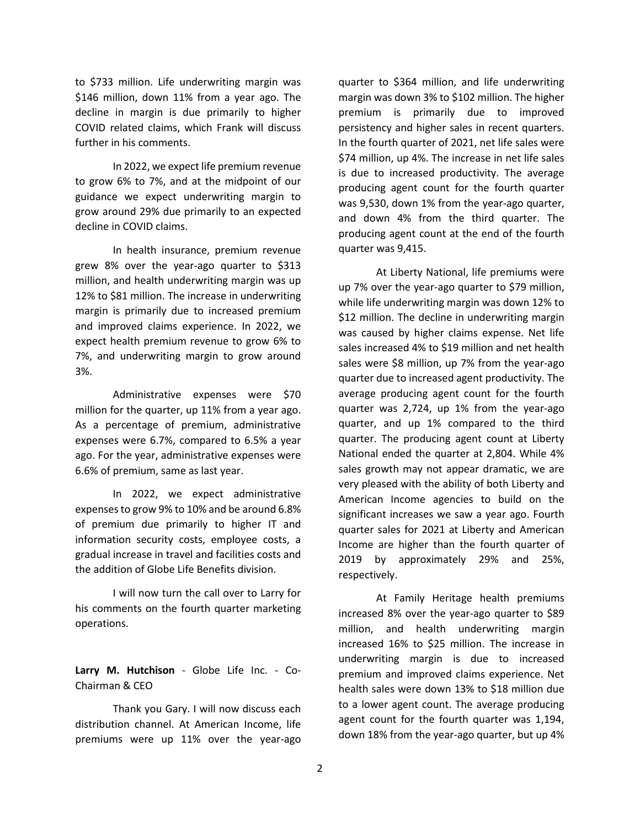to \$733 million. Life underwriting margin was \$146 million, down 11% from a year ago. The decline in margin is due primarily to higher COVID related claims, which Frank will discuss further in his comments.

In 2022, we expect life premium revenue to grow 6% to 7%, and at the midpoint of our guidance we expect underwriting margin to grow around 29% due primarily to an expected decline in COVID claims.

In health insurance, premium revenue grew 8% over the year-ago quarter to \$313 million, and health underwriting margin was up 12% to \$81 million. The increase in underwriting margin is primarily due to increased premium and improved claims experience. In 2022, we expect health premium revenue to grow 6% to 7%, and underwriting margin to grow around 3%.

Administrative expenses were \$70 million for the quarter, up 11% from a year ago. As a percentage of premium, administrative expenses were 6.7%, compared to 6.5% a year ago. For the year, administrative expenses were 6.6% of premium, same as last year.

In 2022, we expect administrative expenses to grow 9% to 10% and be around 6.8% of premium due primarily to higher IT and information security costs, employee costs, a gradual increase in travel and facilities costs and the addition of Globe Life Benefits division.

I will now turn the call over to Larry for his comments on the fourth quarter marketing operations.

**Larry M. Hutchison** - Globe Life Inc. - Co-Chairman & CEO

Thank you Gary. I will now discuss each distribution channel. At American Income, life premiums were up 11% over the year-ago

quarter to \$364 million, and life underwriting margin was down 3% to \$102 million. The higher premium is primarily due to improved persistency and higher sales in recent quarters. In the fourth quarter of 2021, net life sales were \$74 million, up 4%. The increase in net life sales is due to increased productivity. The average producing agent count for the fourth quarter was 9,530, down 1% from the year-ago quarter, and down 4% from the third quarter. The producing agent count at the end of the fourth quarter was 9,415.

At Liberty National, life premiums were up 7% over the year-ago quarter to \$79 million, while life underwriting margin was down 12% to \$12 million. The decline in underwriting margin was caused by higher claims expense. Net life sales increased 4% to \$19 million and net health sales were \$8 million, up 7% from the year-ago quarter due to increased agent productivity. The average producing agent count for the fourth quarter was 2,724, up 1% from the year-ago quarter, and up 1% compared to the third quarter. The producing agent count at Liberty National ended the quarter at 2,804. While 4% sales growth may not appear dramatic, we are very pleased with the ability of both Liberty and American Income agencies to build on the significant increases we saw a year ago. Fourth quarter sales for 2021 at Liberty and American Income are higher than the fourth quarter of 2019 by approximately 29% and 25%, respectively.

At Family Heritage health premiums increased 8% over the year-ago quarter to \$89 million, and health underwriting margin increased 16% to \$25 million. The increase in underwriting margin is due to increased premium and improved claims experience. Net health sales were down 13% to \$18 million due to a lower agent count. The average producing agent count for the fourth quarter was 1,194, down 18% from the year-ago quarter, but up 4%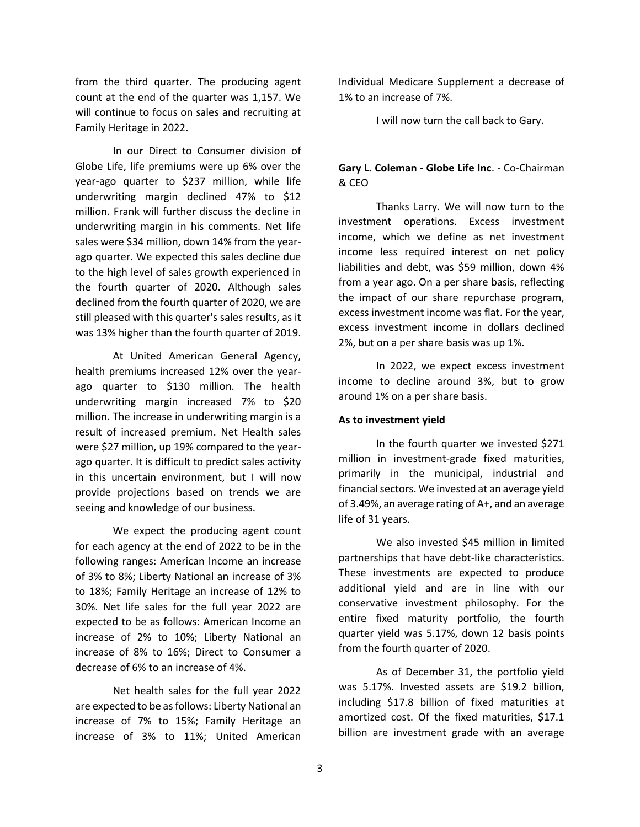from the third quarter. The producing agent count at the end of the quarter was 1,157. We will continue to focus on sales and recruiting at Family Heritage in 2022.

In our Direct to Consumer division of Globe Life, life premiums were up 6% over the year-ago quarter to \$237 million, while life underwriting margin declined 47% to \$12 million. Frank will further discuss the decline in underwriting margin in his comments. Net life sales were \$34 million, down 14% from the yearago quarter. We expected this sales decline due to the high level of sales growth experienced in the fourth quarter of 2020. Although sales declined from the fourth quarter of 2020, we are still pleased with this quarter's sales results, as it was 13% higher than the fourth quarter of 2019.

At United American General Agency, health premiums increased 12% over the yearago quarter to \$130 million. The health underwriting margin increased 7% to \$20 million. The increase in underwriting margin is a result of increased premium. Net Health sales were \$27 million, up 19% compared to the yearago quarter. It is difficult to predict sales activity in this uncertain environment, but I will now provide projections based on trends we are seeing and knowledge of our business.

We expect the producing agent count for each agency at the end of 2022 to be in the following ranges: American Income an increase of 3% to 8%; Liberty National an increase of 3% to 18%; Family Heritage an increase of 12% to 30%. Net life sales for the full year 2022 are expected to be as follows: American Income an increase of 2% to 10%; Liberty National an increase of 8% to 16%; Direct to Consumer a decrease of 6% to an increase of 4%.

Net health sales for the full year 2022 are expected to be as follows: Liberty National an increase of 7% to 15%; Family Heritage an increase of 3% to 11%; United American Individual Medicare Supplement a decrease of 1% to an increase of 7%.

I will now turn the call back to Gary.

## **Gary L. Coleman - Globe Life Inc**. - Co-Chairman & CEO

Thanks Larry. We will now turn to the investment operations. Excess investment income, which we define as net investment income less required interest on net policy liabilities and debt, was \$59 million, down 4% from a year ago. On a per share basis, reflecting the impact of our share repurchase program, excess investment income was flat. For the year, excess investment income in dollars declined 2%, but on a per share basis was up 1%.

In 2022, we expect excess investment income to decline around 3%, but to grow around 1% on a per share basis.

#### **As to investment yield**

In the fourth quarter we invested \$271 million in investment-grade fixed maturities, primarily in the municipal, industrial and financial sectors. We invested at an average yield of 3.49%, an average rating of A+, and an average life of 31 years.

We also invested \$45 million in limited partnerships that have debt-like characteristics. These investments are expected to produce additional yield and are in line with our conservative investment philosophy. For the entire fixed maturity portfolio, the fourth quarter yield was 5.17%, down 12 basis points from the fourth quarter of 2020.

As of December 31, the portfolio yield was 5.17%. Invested assets are \$19.2 billion, including \$17.8 billion of fixed maturities at amortized cost. Of the fixed maturities, \$17.1 billion are investment grade with an average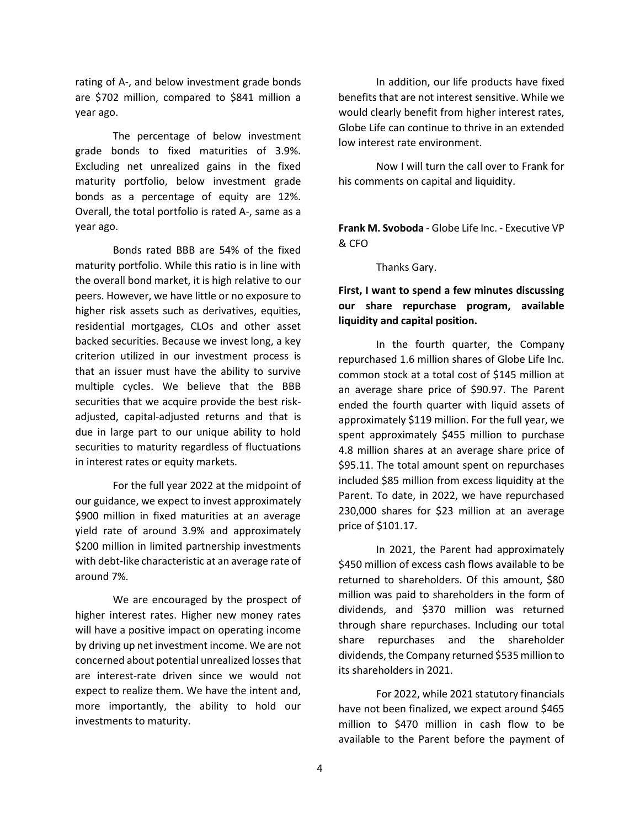rating of A-, and below investment grade bonds are \$702 million, compared to \$841 million a year ago.

The percentage of below investment grade bonds to fixed maturities of 3.9%. Excluding net unrealized gains in the fixed maturity portfolio, below investment grade bonds as a percentage of equity are 12%. Overall, the total portfolio is rated A-, same as a year ago.

Bonds rated BBB are 54% of the fixed maturity portfolio. While this ratio is in line with the overall bond market, it is high relative to our peers. However, we have little or no exposure to higher risk assets such as derivatives, equities, residential mortgages, CLOs and other asset backed securities. Because we invest long, a key criterion utilized in our investment process is that an issuer must have the ability to survive multiple cycles. We believe that the BBB securities that we acquire provide the best riskadjusted, capital-adjusted returns and that is due in large part to our unique ability to hold securities to maturity regardless of fluctuations in interest rates or equity markets.

For the full year 2022 at the midpoint of our guidance, we expect to invest approximately \$900 million in fixed maturities at an average yield rate of around 3.9% and approximately \$200 million in limited partnership investments with debt-like characteristic at an average rate of around 7%.

We are encouraged by the prospect of higher interest rates. Higher new money rates will have a positive impact on operating income by driving up net investment income. We are not concerned about potential unrealized losses that are interest-rate driven since we would not expect to realize them. We have the intent and, more importantly, the ability to hold our investments to maturity.

In addition, our life products have fixed benefits that are not interest sensitive. While we would clearly benefit from higher interest rates, Globe Life can continue to thrive in an extended low interest rate environment.

Now I will turn the call over to Frank for his comments on capital and liquidity.

**Frank M. Svoboda** - Globe Life Inc. - Executive VP & CFO

Thanks Gary.

**First, I want to spend a few minutes discussing our share repurchase program, available liquidity and capital position.**

In the fourth quarter, the Company repurchased 1.6 million shares of Globe Life Inc. common stock at a total cost of \$145 million at an average share price of \$90.97. The Parent ended the fourth quarter with liquid assets of approximately \$119 million. For the full year, we spent approximately \$455 million to purchase 4.8 million shares at an average share price of \$95.11. The total amount spent on repurchases included \$85 million from excess liquidity at the Parent. To date, in 2022, we have repurchased 230,000 shares for \$23 million at an average price of \$101.17.

In 2021, the Parent had approximately \$450 million of excess cash flows available to be returned to shareholders. Of this amount, \$80 million was paid to shareholders in the form of dividends, and \$370 million was returned through share repurchases. Including our total share repurchases and the shareholder dividends, the Company returned \$535 million to its shareholders in 2021.

For 2022, while 2021 statutory financials have not been finalized, we expect around \$465 million to \$470 million in cash flow to be available to the Parent before the payment of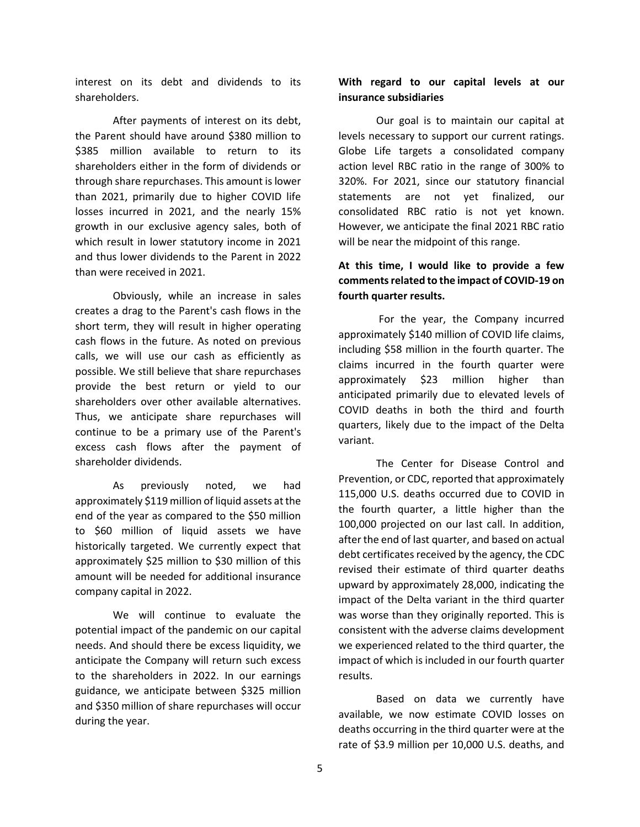interest on its debt and dividends to its shareholders.

After payments of interest on its debt, the Parent should have around \$380 million to \$385 million available to return to its shareholders either in the form of dividends or through share repurchases. This amount is lower than 2021, primarily due to higher COVID life losses incurred in 2021, and the nearly 15% growth in our exclusive agency sales, both of which result in lower statutory income in 2021 and thus lower dividends to the Parent in 2022 than were received in 2021.

Obviously, while an increase in sales creates a drag to the Parent's cash flows in the short term, they will result in higher operating cash flows in the future. As noted on previous calls, we will use our cash as efficiently as possible. We still believe that share repurchases provide the best return or yield to our shareholders over other available alternatives. Thus, we anticipate share repurchases will continue to be a primary use of the Parent's excess cash flows after the payment of shareholder dividends.

As previously noted, we had approximately \$119 million of liquid assets at the end of the year as compared to the \$50 million to \$60 million of liquid assets we have historically targeted. We currently expect that approximately \$25 million to \$30 million of this amount will be needed for additional insurance company capital in 2022.

We will continue to evaluate the potential impact of the pandemic on our capital needs. And should there be excess liquidity, we anticipate the Company will return such excess to the shareholders in 2022. In our earnings guidance, we anticipate between \$325 million and \$350 million of share repurchases will occur during the year.

## **With regard to our capital levels at our insurance subsidiaries**

Our goal is to maintain our capital at levels necessary to support our current ratings. Globe Life targets a consolidated company action level RBC ratio in the range of 300% to 320%. For 2021, since our statutory financial statements are not yet finalized, our consolidated RBC ratio is not yet known. However, we anticipate the final 2021 RBC ratio will be near the midpoint of this range.

# **At this time, I would like to provide a few comments related to the impact of COVID-19 on fourth quarter results.**

For the year, the Company incurred approximately \$140 million of COVID life claims, including \$58 million in the fourth quarter. The claims incurred in the fourth quarter were approximately \$23 million higher than anticipated primarily due to elevated levels of COVID deaths in both the third and fourth quarters, likely due to the impact of the Delta variant.

The Center for Disease Control and Prevention, or CDC, reported that approximately 115,000 U.S. deaths occurred due to COVID in the fourth quarter, a little higher than the 100,000 projected on our last call. In addition, after the end of last quarter, and based on actual debt certificates received by the agency, the CDC revised their estimate of third quarter deaths upward by approximately 28,000, indicating the impact of the Delta variant in the third quarter was worse than they originally reported. This is consistent with the adverse claims development we experienced related to the third quarter, the impact of which is included in our fourth quarter results.

Based on data we currently have available, we now estimate COVID losses on deaths occurring in the third quarter were at the rate of \$3.9 million per 10,000 U.S. deaths, and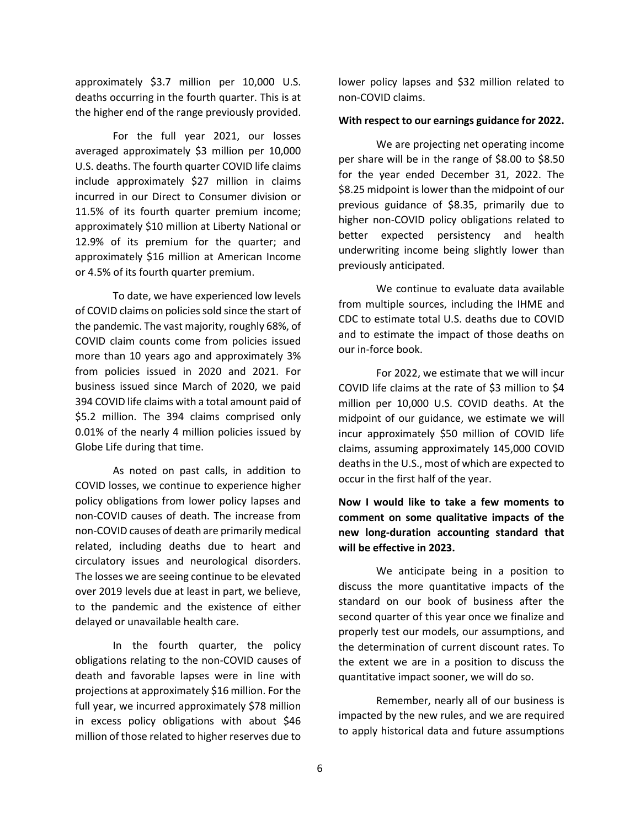approximately \$3.7 million per 10,000 U.S. deaths occurring in the fourth quarter. This is at the higher end of the range previously provided.

For the full year 2021, our losses averaged approximately \$3 million per 10,000 U.S. deaths. The fourth quarter COVID life claims include approximately \$27 million in claims incurred in our Direct to Consumer division or 11.5% of its fourth quarter premium income; approximately \$10 million at Liberty National or 12.9% of its premium for the quarter; and approximately \$16 million at American Income or 4.5% of its fourth quarter premium.

To date, we have experienced low levels of COVID claims on policies sold since the start of the pandemic. The vast majority, roughly 68%, of COVID claim counts come from policies issued more than 10 years ago and approximately 3% from policies issued in 2020 and 2021. For business issued since March of 2020, we paid 394 COVID life claims with a total amount paid of \$5.2 million. The 394 claims comprised only 0.01% of the nearly 4 million policies issued by Globe Life during that time.

As noted on past calls, in addition to COVID losses, we continue to experience higher policy obligations from lower policy lapses and non-COVID causes of death. The increase from non-COVID causes of death are primarily medical related, including deaths due to heart and circulatory issues and neurological disorders. The losses we are seeing continue to be elevated over 2019 levels due at least in part, we believe, to the pandemic and the existence of either delayed or unavailable health care.

In the fourth quarter, the policy obligations relating to the non-COVID causes of death and favorable lapses were in line with projections at approximately \$16 million. For the full year, we incurred approximately \$78 million in excess policy obligations with about \$46 million of those related to higher reserves due to

lower policy lapses and \$32 million related to non-COVID claims.

### **With respect to our earnings guidance for 2022.**

We are projecting net operating income per share will be in the range of \$8.00 to \$8.50 for the year ended December 31, 2022. The \$8.25 midpoint is lower than the midpoint of our previous guidance of \$8.35, primarily due to higher non-COVID policy obligations related to better expected persistency and health underwriting income being slightly lower than previously anticipated.

We continue to evaluate data available from multiple sources, including the IHME and CDC to estimate total U.S. deaths due to COVID and to estimate the impact of those deaths on our in-force book.

For 2022, we estimate that we will incur COVID life claims at the rate of \$3 million to \$4 million per 10,000 U.S. COVID deaths. At the midpoint of our guidance, we estimate we will incur approximately \$50 million of COVID life claims, assuming approximately 145,000 COVID deaths in the U.S., most of which are expected to occur in the first half of the year.

**Now I would like to take a few moments to comment on some qualitative impacts of the new long-duration accounting standard that will be effective in 2023.** 

We anticipate being in a position to discuss the more quantitative impacts of the standard on our book of business after the second quarter of this year once we finalize and properly test our models, our assumptions, and the determination of current discount rates. To the extent we are in a position to discuss the quantitative impact sooner, we will do so.

Remember, nearly all of our business is impacted by the new rules, and we are required to apply historical data and future assumptions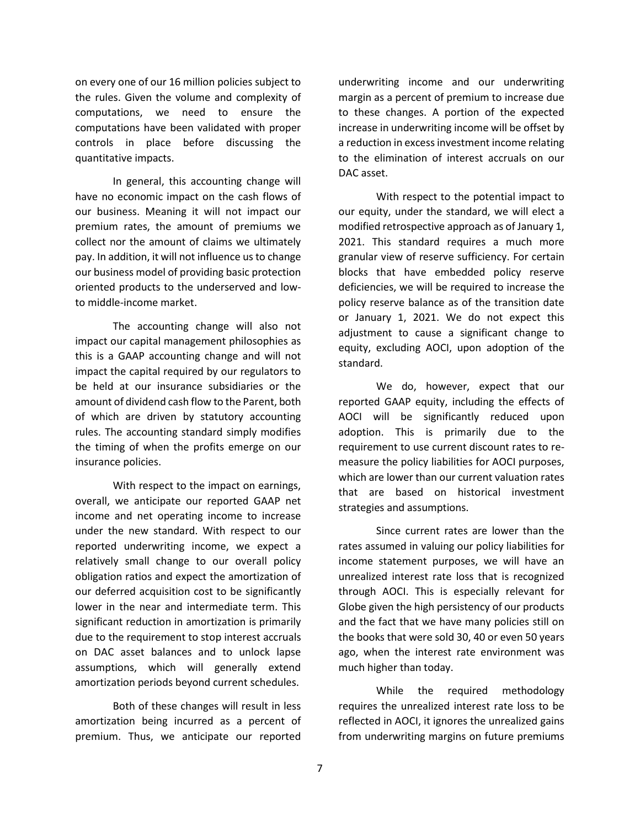on every one of our 16 million policies subject to the rules. Given the volume and complexity of computations, we need to ensure the computations have been validated with proper controls in place before discussing the quantitative impacts.

In general, this accounting change will have no economic impact on the cash flows of our business. Meaning it will not impact our premium rates, the amount of premiums we collect nor the amount of claims we ultimately pay. In addition, it will not influence us to change our business model of providing basic protection oriented products to the underserved and lowto middle-income market.

The accounting change will also not impact our capital management philosophies as this is a GAAP accounting change and will not impact the capital required by our regulators to be held at our insurance subsidiaries or the amount of dividend cash flow to the Parent, both of which are driven by statutory accounting rules. The accounting standard simply modifies the timing of when the profits emerge on our insurance policies.

With respect to the impact on earnings, overall, we anticipate our reported GAAP net income and net operating income to increase under the new standard. With respect to our reported underwriting income, we expect a relatively small change to our overall policy obligation ratios and expect the amortization of our deferred acquisition cost to be significantly lower in the near and intermediate term. This significant reduction in amortization is primarily due to the requirement to stop interest accruals on DAC asset balances and to unlock lapse assumptions, which will generally extend amortization periods beyond current schedules.

Both of these changes will result in less amortization being incurred as a percent of premium. Thus, we anticipate our reported

underwriting income and our underwriting margin as a percent of premium to increase due to these changes. A portion of the expected increase in underwriting income will be offset by a reduction in excess investment income relating to the elimination of interest accruals on our DAC asset.

With respect to the potential impact to our equity, under the standard, we will elect a modified retrospective approach as of January 1, 2021. This standard requires a much more granular view of reserve sufficiency. For certain blocks that have embedded policy reserve deficiencies, we will be required to increase the policy reserve balance as of the transition date or January 1, 2021. We do not expect this adjustment to cause a significant change to equity, excluding AOCI, upon adoption of the standard.

We do, however, expect that our reported GAAP equity, including the effects of AOCI will be significantly reduced upon adoption. This is primarily due to the requirement to use current discount rates to remeasure the policy liabilities for AOCI purposes, which are lower than our current valuation rates that are based on historical investment strategies and assumptions.

Since current rates are lower than the rates assumed in valuing our policy liabilities for income statement purposes, we will have an unrealized interest rate loss that is recognized through AOCI. This is especially relevant for Globe given the high persistency of our products and the fact that we have many policies still on the books that were sold 30, 40 or even 50 years ago, when the interest rate environment was much higher than today.

While the required methodology requires the unrealized interest rate loss to be reflected in AOCI, it ignores the unrealized gains from underwriting margins on future premiums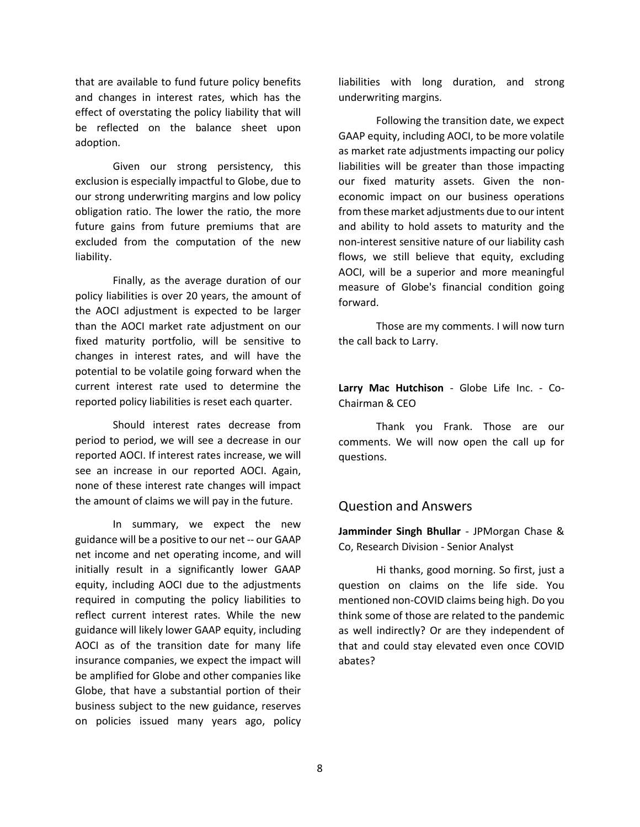that are available to fund future policy benefits and changes in interest rates, which has the effect of overstating the policy liability that will be reflected on the balance sheet upon adoption.

Given our strong persistency, this exclusion is especially impactful to Globe, due to our strong underwriting margins and low policy obligation ratio. The lower the ratio, the more future gains from future premiums that are excluded from the computation of the new liability.

Finally, as the average duration of our policy liabilities is over 20 years, the amount of the AOCI adjustment is expected to be larger than the AOCI market rate adjustment on our fixed maturity portfolio, will be sensitive to changes in interest rates, and will have the potential to be volatile going forward when the current interest rate used to determine the reported policy liabilities is reset each quarter.

Should interest rates decrease from period to period, we will see a decrease in our reported AOCI. If interest rates increase, we will see an increase in our reported AOCI. Again, none of these interest rate changes will impact the amount of claims we will pay in the future.

In summary, we expect the new guidance will be a positive to our net -- our GAAP net income and net operating income, and will initially result in a significantly lower GAAP equity, including AOCI due to the adjustments required in computing the policy liabilities to reflect current interest rates. While the new guidance will likely lower GAAP equity, including AOCI as of the transition date for many life insurance companies, we expect the impact will be amplified for Globe and other companies like Globe, that have a substantial portion of their business subject to the new guidance, reserves on policies issued many years ago, policy liabilities with long duration, and strong underwriting margins.

Following the transition date, we expect GAAP equity, including AOCI, to be more volatile as market rate adjustments impacting our policy liabilities will be greater than those impacting our fixed maturity assets. Given the noneconomic impact on our business operations from these market adjustments due to our intent and ability to hold assets to maturity and the non-interest sensitive nature of our liability cash flows, we still believe that equity, excluding AOCI, will be a superior and more meaningful measure of Globe's financial condition going forward.

Those are my comments. I will now turn the call back to Larry.

**Larry Mac Hutchison** - Globe Life Inc. - Co-Chairman & CEO

Thank you Frank. Those are our comments. We will now open the call up for questions.

# Question and Answers

**Jamminder Singh Bhullar** - JPMorgan Chase & Co, Research Division - Senior Analyst

Hi thanks, good morning. So first, just a question on claims on the life side. You mentioned non-COVID claims being high. Do you think some of those are related to the pandemic as well indirectly? Or are they independent of that and could stay elevated even once COVID abates?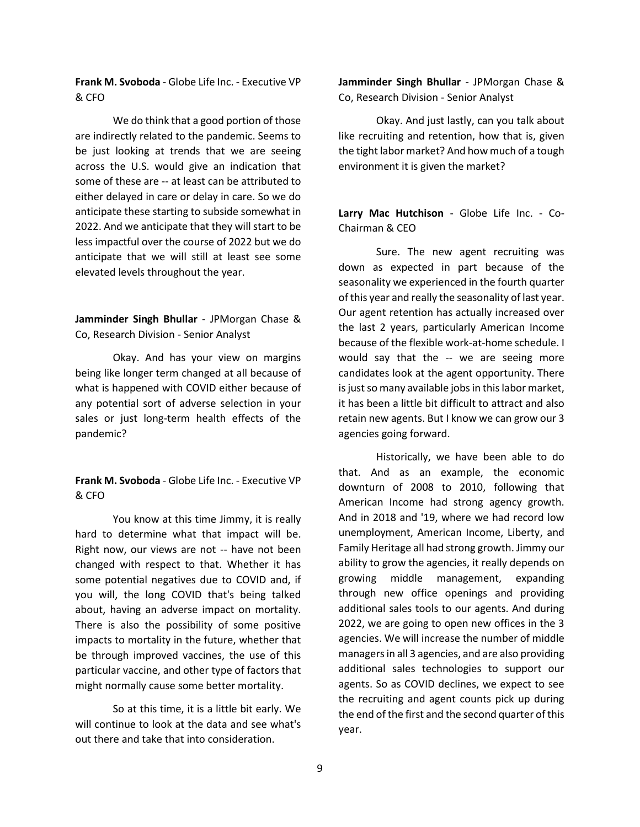**Frank M. Svoboda** - Globe Life Inc. - Executive VP & CFO

We do think that a good portion of those are indirectly related to the pandemic. Seems to be just looking at trends that we are seeing across the U.S. would give an indication that some of these are -- at least can be attributed to either delayed in care or delay in care. So we do anticipate these starting to subside somewhat in 2022. And we anticipate that they will start to be less impactful over the course of 2022 but we do anticipate that we will still at least see some elevated levels throughout the year.

**Jamminder Singh Bhullar** - JPMorgan Chase & Co, Research Division - Senior Analyst

Okay. And has your view on margins being like longer term changed at all because of what is happened with COVID either because of any potential sort of adverse selection in your sales or just long-term health effects of the pandemic?

**Frank M. Svoboda** - Globe Life Inc. - Executive VP & CFO

You know at this time Jimmy, it is really hard to determine what that impact will be. Right now, our views are not -- have not been changed with respect to that. Whether it has some potential negatives due to COVID and, if you will, the long COVID that's being talked about, having an adverse impact on mortality. There is also the possibility of some positive impacts to mortality in the future, whether that be through improved vaccines, the use of this particular vaccine, and other type of factors that might normally cause some better mortality.

So at this time, it is a little bit early. We will continue to look at the data and see what's out there and take that into consideration.

**Jamminder Singh Bhullar** - JPMorgan Chase & Co, Research Division - Senior Analyst

Okay. And just lastly, can you talk about like recruiting and retention, how that is, given the tight labor market? And how much of a tough environment it is given the market?

**Larry Mac Hutchison** - Globe Life Inc. - Co-Chairman & CEO

Sure. The new agent recruiting was down as expected in part because of the seasonality we experienced in the fourth quarter of this year and really the seasonality of last year. Our agent retention has actually increased over the last 2 years, particularly American Income because of the flexible work-at-home schedule. I would say that the -- we are seeing more candidates look at the agent opportunity. There is just so many available jobs in this labor market, it has been a little bit difficult to attract and also retain new agents. But I know we can grow our 3 agencies going forward.

Historically, we have been able to do that. And as an example, the economic downturn of 2008 to 2010, following that American Income had strong agency growth. And in 2018 and '19, where we had record low unemployment, American Income, Liberty, and Family Heritage all had strong growth. Jimmy our ability to grow the agencies, it really depends on growing middle management, expanding through new office openings and providing additional sales tools to our agents. And during 2022, we are going to open new offices in the 3 agencies. We will increase the number of middle managersin all 3 agencies, and are also providing additional sales technologies to support our agents. So as COVID declines, we expect to see the recruiting and agent counts pick up during the end of the first and the second quarter of this year.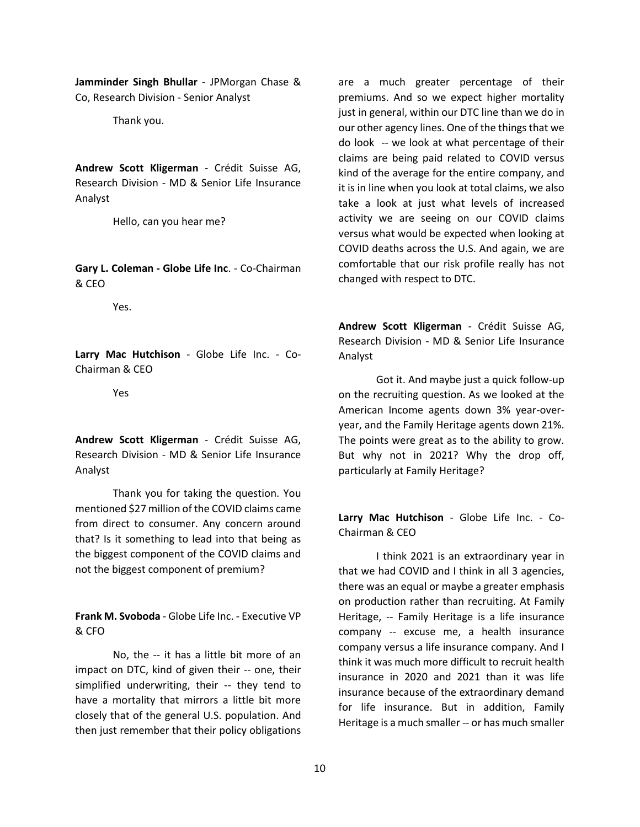**Jamminder Singh Bhullar** - JPMorgan Chase & Co, Research Division - Senior Analyst

Thank you.

**Andrew Scott Kligerman** - Crédit Suisse AG, Research Division - MD & Senior Life Insurance Analyst

Hello, can you hear me?

**Gary L. Coleman - Globe Life Inc**. - Co-Chairman & CEO

Yes.

**Larry Mac Hutchison** - Globe Life Inc. - Co-Chairman & CEO

Yes

**Andrew Scott Kligerman** - Crédit Suisse AG, Research Division - MD & Senior Life Insurance Analyst

Thank you for taking the question. You mentioned \$27 million of the COVID claims came from direct to consumer. Any concern around that? Is it something to lead into that being as the biggest component of the COVID claims and not the biggest component of premium?

**Frank M. Svoboda** - Globe Life Inc. - Executive VP & CFO

No, the -- it has a little bit more of an impact on DTC, kind of given their -- one, their simplified underwriting, their -- they tend to have a mortality that mirrors a little bit more closely that of the general U.S. population. And then just remember that their policy obligations

are a much greater percentage of their premiums. And so we expect higher mortality just in general, within our DTC line than we do in our other agency lines. One of the things that we do look -- we look at what percentage of their claims are being paid related to COVID versus kind of the average for the entire company, and it is in line when you look at total claims, we also take a look at just what levels of increased activity we are seeing on our COVID claims versus what would be expected when looking at COVID deaths across the U.S. And again, we are comfortable that our risk profile really has not changed with respect to DTC.

**Andrew Scott Kligerman** - Crédit Suisse AG, Research Division - MD & Senior Life Insurance Analyst

Got it. And maybe just a quick follow-up on the recruiting question. As we looked at the American Income agents down 3% year-overyear, and the Family Heritage agents down 21%. The points were great as to the ability to grow. But why not in 2021? Why the drop off, particularly at Family Heritage?

**Larry Mac Hutchison** - Globe Life Inc. - Co-Chairman & CEO

I think 2021 is an extraordinary year in that we had COVID and I think in all 3 agencies, there was an equal or maybe a greater emphasis on production rather than recruiting. At Family Heritage, -- Family Heritage is a life insurance company -- excuse me, a health insurance company versus a life insurance company. And I think it was much more difficult to recruit health insurance in 2020 and 2021 than it was life insurance because of the extraordinary demand for life insurance. But in addition, Family Heritage is a much smaller -- or has much smaller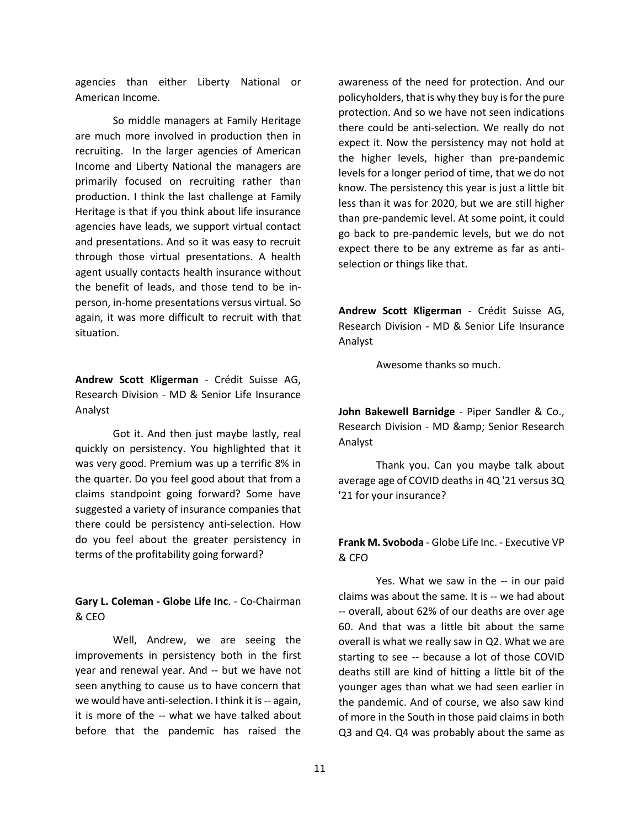agencies than either Liberty National or American Income.

So middle managers at Family Heritage are much more involved in production then in recruiting. In the larger agencies of American Income and Liberty National the managers are primarily focused on recruiting rather than production. I think the last challenge at Family Heritage is that if you think about life insurance agencies have leads, we support virtual contact and presentations. And so it was easy to recruit through those virtual presentations. A health agent usually contacts health insurance without the benefit of leads, and those tend to be inperson, in-home presentations versus virtual. So again, it was more difficult to recruit with that situation.

**Andrew Scott Kligerman** - Crédit Suisse AG, Research Division - MD & Senior Life Insurance Analyst

Got it. And then just maybe lastly, real quickly on persistency. You highlighted that it was very good. Premium was up a terrific 8% in the quarter. Do you feel good about that from a claims standpoint going forward? Some have suggested a variety of insurance companies that there could be persistency anti-selection. How do you feel about the greater persistency in terms of the profitability going forward?

**Gary L. Coleman - Globe Life Inc**. - Co-Chairman & CEO

Well, Andrew, we are seeing the improvements in persistency both in the first year and renewal year. And -- but we have not seen anything to cause us to have concern that we would have anti-selection. I think it is -- again, it is more of the -- what we have talked about before that the pandemic has raised the

awareness of the need for protection. And our policyholders, that is why they buy is for the pure protection. And so we have not seen indications there could be anti-selection. We really do not expect it. Now the persistency may not hold at the higher levels, higher than pre-pandemic levels for a longer period of time, that we do not know. The persistency this year is just a little bit less than it was for 2020, but we are still higher than pre-pandemic level. At some point, it could go back to pre-pandemic levels, but we do not expect there to be any extreme as far as antiselection or things like that.

**Andrew Scott Kligerman** - Crédit Suisse AG, Research Division - MD & Senior Life Insurance Analyst

Awesome thanks so much.

**John Bakewell Barnidge** - Piper Sandler & Co., Research Division - MD & amp; Senior Research Analyst

Thank you. Can you maybe talk about average age of COVID deaths in 4Q '21 versus 3Q '21 for your insurance?

**Frank M. Svoboda** - Globe Life Inc. - Executive VP & CFO

Yes. What we saw in the -- in our paid claims was about the same. It is -- we had about -- overall, about 62% of our deaths are over age 60. And that was a little bit about the same overall is what we really saw in Q2. What we are starting to see -- because a lot of those COVID deaths still are kind of hitting a little bit of the younger ages than what we had seen earlier in the pandemic. And of course, we also saw kind of more in the South in those paid claims in both Q3 and Q4. Q4 was probably about the same as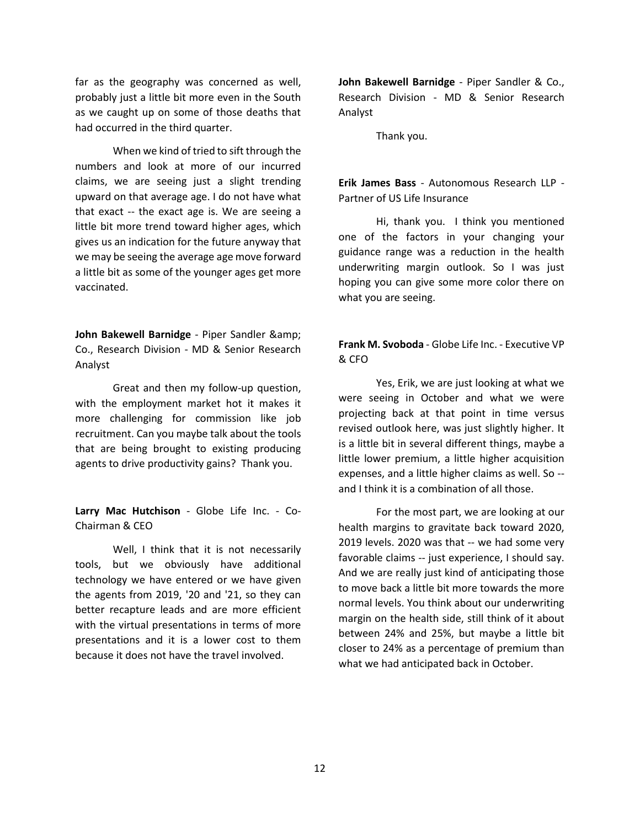far as the geography was concerned as well, probably just a little bit more even in the South as we caught up on some of those deaths that had occurred in the third quarter.

When we kind of tried to sift through the numbers and look at more of our incurred claims, we are seeing just a slight trending upward on that average age. I do not have what that exact -- the exact age is. We are seeing a little bit more trend toward higher ages, which gives us an indication for the future anyway that we may be seeing the average age move forward a little bit as some of the younger ages get more vaccinated.

**John Bakewell Barnidge** - Piper Sandler & Co., Research Division - MD & Senior Research Analyst

Great and then my follow-up question, with the employment market hot it makes it more challenging for commission like job recruitment. Can you maybe talk about the tools that are being brought to existing producing agents to drive productivity gains? Thank you.

**Larry Mac Hutchison** - Globe Life Inc. - Co-Chairman & CEO

Well, I think that it is not necessarily tools, but we obviously have additional technology we have entered or we have given the agents from 2019, '20 and '21, so they can better recapture leads and are more efficient with the virtual presentations in terms of more presentations and it is a lower cost to them because it does not have the travel involved.

**John Bakewell Barnidge** - Piper Sandler & Co., Research Division - MD & Senior Research Analyst

Thank you.

**Erik James Bass** - Autonomous Research LLP - Partner of US Life Insurance

Hi, thank you. I think you mentioned one of the factors in your changing your guidance range was a reduction in the health underwriting margin outlook. So I was just hoping you can give some more color there on what you are seeing.

**Frank M. Svoboda** - Globe Life Inc. - Executive VP & CFO

Yes, Erik, we are just looking at what we were seeing in October and what we were projecting back at that point in time versus revised outlook here, was just slightly higher. It is a little bit in several different things, maybe a little lower premium, a little higher acquisition expenses, and a little higher claims as well. So - and I think it is a combination of all those.

For the most part, we are looking at our health margins to gravitate back toward 2020, 2019 levels. 2020 was that -- we had some very favorable claims -- just experience, I should say. And we are really just kind of anticipating those to move back a little bit more towards the more normal levels. You think about our underwriting margin on the health side, still think of it about between 24% and 25%, but maybe a little bit closer to 24% as a percentage of premium than what we had anticipated back in October.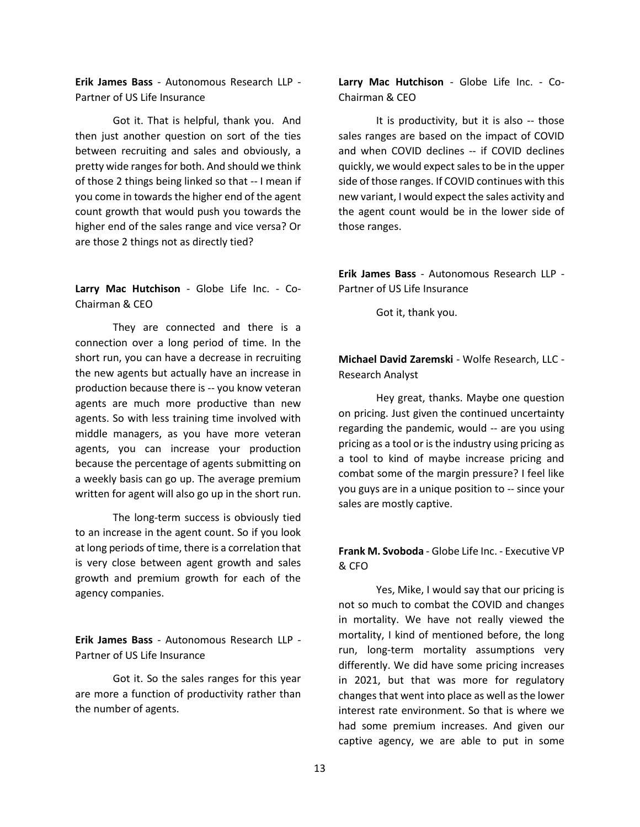**Erik James Bass** - Autonomous Research LLP - Partner of US Life Insurance

Got it. That is helpful, thank you. And then just another question on sort of the ties between recruiting and sales and obviously, a pretty wide ranges for both. And should we think of those 2 things being linked so that -- I mean if you come in towards the higher end of the agent count growth that would push you towards the higher end of the sales range and vice versa? Or are those 2 things not as directly tied?

**Larry Mac Hutchison** - Globe Life Inc. - Co-Chairman & CEO

They are connected and there is a connection over a long period of time. In the short run, you can have a decrease in recruiting the new agents but actually have an increase in production because there is -- you know veteran agents are much more productive than new agents. So with less training time involved with middle managers, as you have more veteran agents, you can increase your production because the percentage of agents submitting on a weekly basis can go up. The average premium written for agent will also go up in the short run.

The long-term success is obviously tied to an increase in the agent count. So if you look at long periods of time, there is a correlation that is very close between agent growth and sales growth and premium growth for each of the agency companies.

**Erik James Bass** - Autonomous Research LLP - Partner of US Life Insurance

Got it. So the sales ranges for this year are more a function of productivity rather than the number of agents.

**Larry Mac Hutchison** - Globe Life Inc. - Co-Chairman & CEO

It is productivity, but it is also -- those sales ranges are based on the impact of COVID and when COVID declines -- if COVID declines quickly, we would expect sales to be in the upper side of those ranges. If COVID continues with this new variant, I would expect the sales activity and the agent count would be in the lower side of those ranges.

**Erik James Bass** - Autonomous Research LLP - Partner of US Life Insurance

Got it, thank you.

**Michael David Zaremski** - Wolfe Research, LLC - Research Analyst

Hey great, thanks. Maybe one question on pricing. Just given the continued uncertainty regarding the pandemic, would -- are you using pricing as a tool or is the industry using pricing as a tool to kind of maybe increase pricing and combat some of the margin pressure? I feel like you guys are in a unique position to -- since your sales are mostly captive.

## **Frank M. Svoboda** - Globe Life Inc. - Executive VP & CFO

Yes, Mike, I would say that our pricing is not so much to combat the COVID and changes in mortality. We have not really viewed the mortality, I kind of mentioned before, the long run, long-term mortality assumptions very differently. We did have some pricing increases in 2021, but that was more for regulatory changes that went into place as well as the lower interest rate environment. So that is where we had some premium increases. And given our captive agency, we are able to put in some